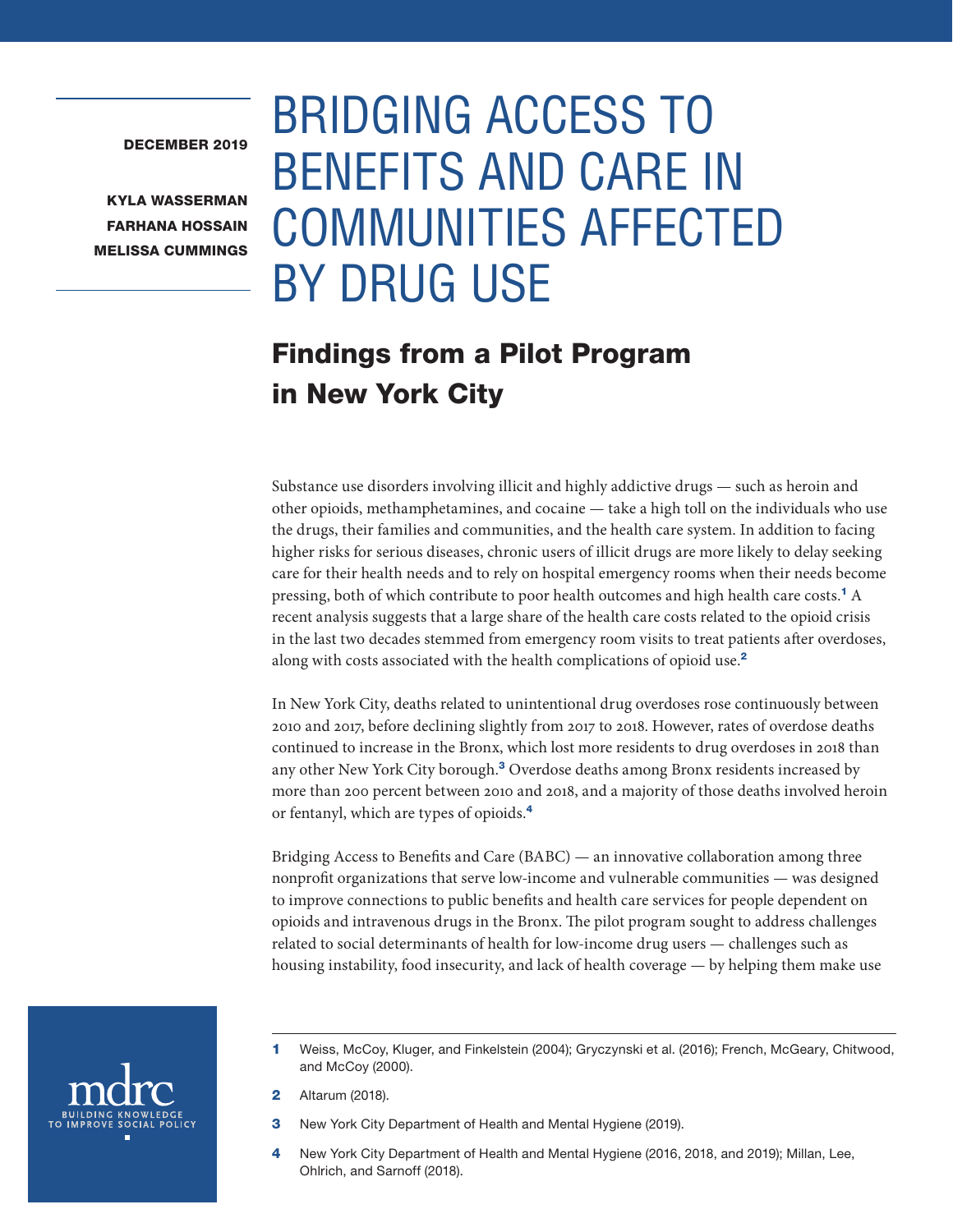#### DECEMBER 2019

KYLA WASSERMAN FARHANA HOSSAIN MELISSA CUMMINGS

# BRIDGING ACCESS TO BENEFITS AND CARE IN COMMUNITIES AFFECTED BY DRUG USE

# Findings from a Pilot Program in New York City

Substance use disorders involving illicit and highly addictive drugs — such as heroin and other opioids, methamphetamines, and cocaine — take a high toll on the individuals who use the drugs, their families and communities, and the health care system. In addition to facing higher risks for serious diseases, chronic users of illicit drugs are more likely to delay seeking care for their health needs and to rely on hospital emergency rooms when their needs become pressing, both of which contribute to poor health outcomes and high health care costs.<sup>1</sup> A recent analysis suggests that a large share of the health care costs related to the opioid crisis in the last two decades stemmed from emergency room visits to treat patients after overdoses, along with costs associated with the health complications of opioid use.<sup>2</sup>

In New York City, deaths related to unintentional drug overdoses rose continuously between 2010 and 2017, before declining slightly from 2017 to 2018. However, rates of overdose deaths continued to increase in the Bronx, which lost more residents to drug overdoses in 2018 than any other New York City borough.<sup>3</sup> Overdose deaths among Bronx residents increased by more than 200 percent between 2010 and 2018, and a majority of those deaths involved heroin or fentanyl, which are types of opioids.<sup>4</sup>

Bridging Access to Benefits and Care (BABC) — an innovative collaboration among three nonprofit organizations that serve low-income and vulnerable communities — was designed to improve connections to public benefits and health care services for people dependent on opioids and intravenous drugs in the Bronx. The pilot program sought to address challenges related to social determinants of health for low-income drug users — challenges such as housing instability, food insecurity, and lack of health coverage — by helping them make use



<sup>1</sup> Weiss, McCoy, Kluger, and Finkelstein (2004); Gryczynski et al. (2016); French, McGeary, Chitwood, and McCoy (2000).

**2** Altarum (2018).

- **3** New York City Department of Health and Mental Hygiene (2019).
- 4 New York City Department of Health and Mental Hygiene (2016, 2018, and 2019); Millan, Lee, Ohlrich, and Sarnoff (2018).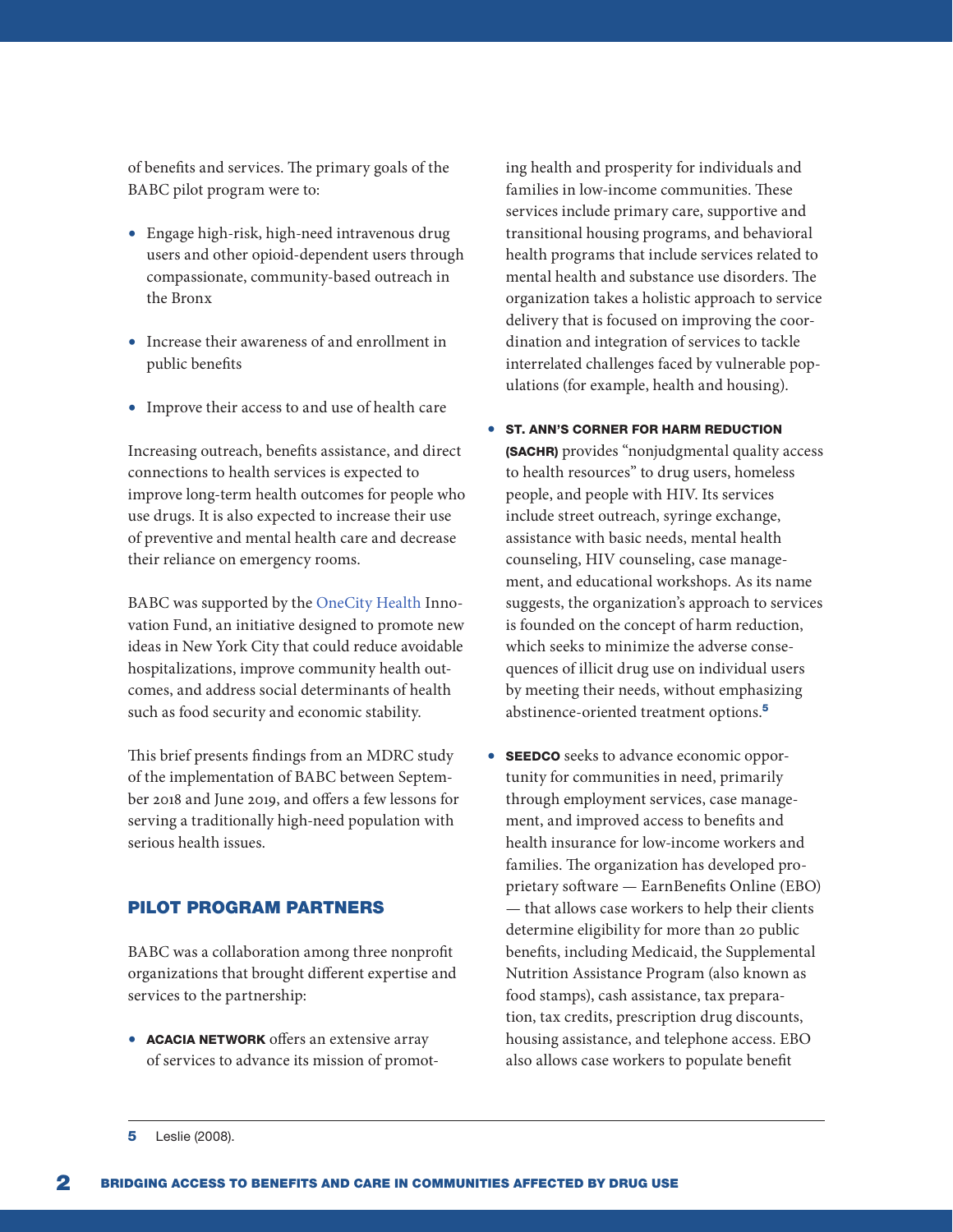of benefits and services. The primary goals of the BABC pilot program were to:

- Engage high-risk, high-need intravenous drug users and other opioid-dependent users through compassionate, community-based outreach in the Bronx
- Increase their awareness of and enrollment in public benefits
- Improve their access to and use of health care

Increasing outreach, benefits assistance, and direct connections to health services is expected to improve long-term health outcomes for people who use drugs. It is also expected to increase their use of preventive and mental health care and decrease their reliance on emergency rooms.

BABC was supported by the [OneCity Health](https://www.onecityhealth.org/onecity-health-overview/) Innovation Fund, an initiative designed to promote new ideas in New York City that could reduce avoidable hospitalizations, improve community health outcomes, and address social determinants of health such as food security and economic stability.

This brief presents findings from an MDRC study of the implementation of BABC between September 2018 and June 2019, and offers a few lessons for serving a traditionally high-need population with serious health issues.

## PILOT PROGRAM PARTNERS

BABC was a collaboration among three nonprofit organizations that brought different expertise and services to the partnership:

• **ACACIA NETWORK** offers an extensive array of services to advance its mission of promoting health and prosperity for individuals and families in low-income communities. These services include primary care, supportive and transitional housing programs, and behavioral health programs that include services related to mental health and substance use disorders. The organization takes a holistic approach to service delivery that is focused on improving the coordination and integration of services to tackle interrelated challenges faced by vulnerable populations (for example, health and housing).

- ST. ANN'S CORNER FOR HARM REDUCTION (SACHR) provides "nonjudgmental quality access to health resources" to drug users, homeless people, and people with HIV. Its services include street outreach, syringe exchange, assistance with basic needs, mental health counseling, HIV counseling, case management, and educational workshops. As its name suggests, the organization's approach to services is founded on the concept of harm reduction, which seeks to minimize the adverse consequences of illicit drug use on individual users by meeting their needs, without emphasizing abstinence-oriented treatment options.<sup>5</sup>
- SEEDCO seeks to advance economic opportunity for communities in need, primarily through employment services, case management, and improved access to benefits and health insurance for low-income workers and families. The organization has developed proprietary software — EarnBenefits Online (EBO) — that allows case workers to help their clients determine eligibility for more than 20 public benefits, including Medicaid, the Supplemental Nutrition Assistance Program (also known as food stamps), cash assistance, tax preparation, tax credits, prescription drug discounts, housing assistance, and telephone access. EBO also allows case workers to populate benefit

**<sup>5</sup>** Leslie (2008).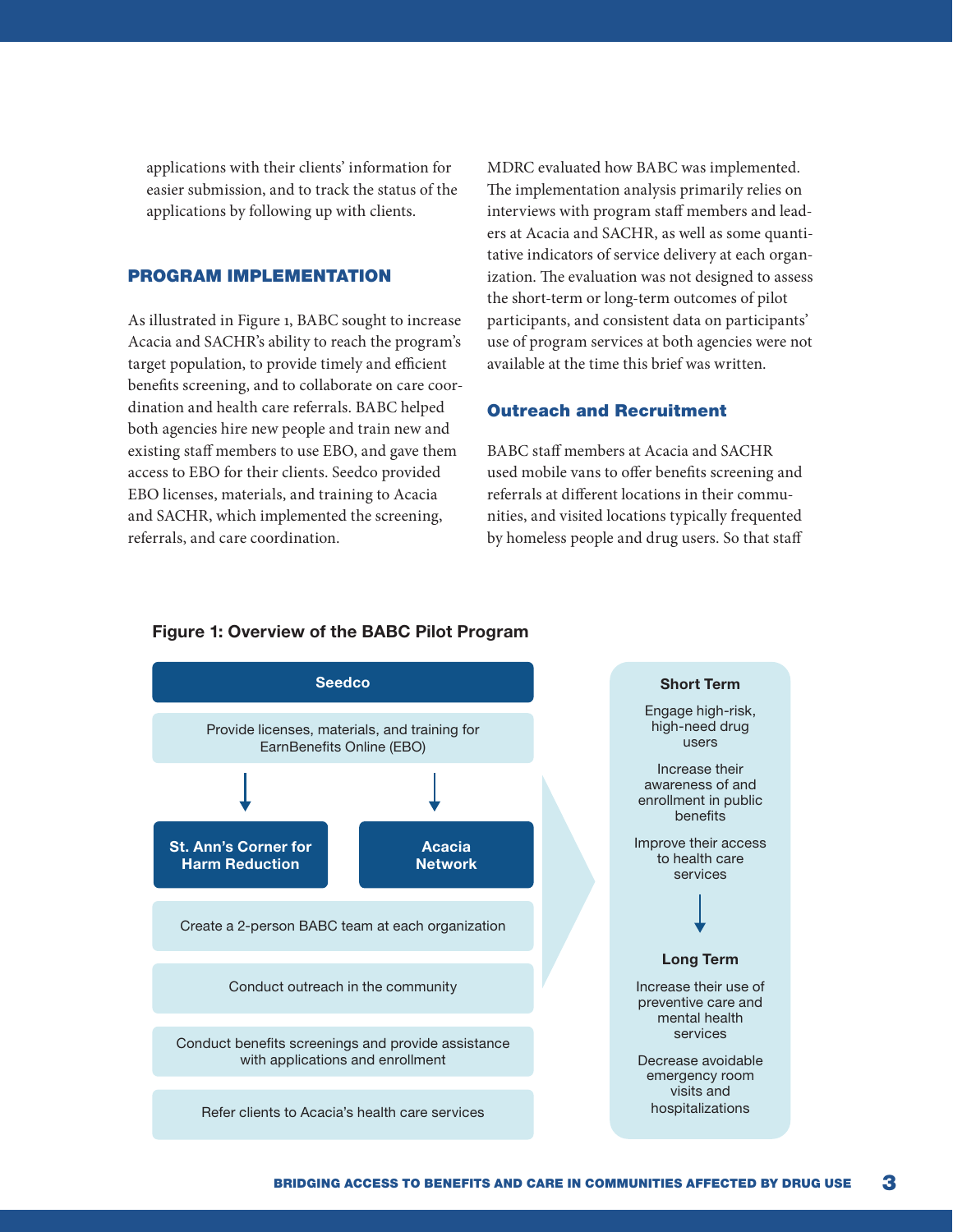applications with their clients' information for easier submission, and to track the status of the applications by following up with clients.

## PROGRAM IMPLEMENTATION

As illustrated in Figure 1, BABC sought to increase Acacia and SACHR's ability to reach the program's target population, to provide timely and efficient benefits screening, and to collaborate on care coordination and health care referrals. BABC helped both agencies hire new people and train new and existing staff members to use EBO, and gave them access to EBO for their clients. Seedco provided EBO licenses, materials, and training to Acacia and SACHR, which implemented the screening, referrals, and care coordination.

MDRC evaluated how BABC was implemented. The implementation analysis primarily relies on interviews with program staff members and leaders at Acacia and SACHR, as well as some quantitative indicators of service delivery at each organization. The evaluation was not designed to assess the short-term or long-term outcomes of pilot participants, and consistent data on participants' use of program services at both agencies were not available at the time this brief was written.

### Outreach and Recruitment

BABC staff members at Acacia and SACHR used mobile vans to offer benefits screening and referrals at different locations in their communities, and visited locations typically frequented by homeless people and drug users. So that staff



#### Figure 1: Overview of the BABC Pilot Program

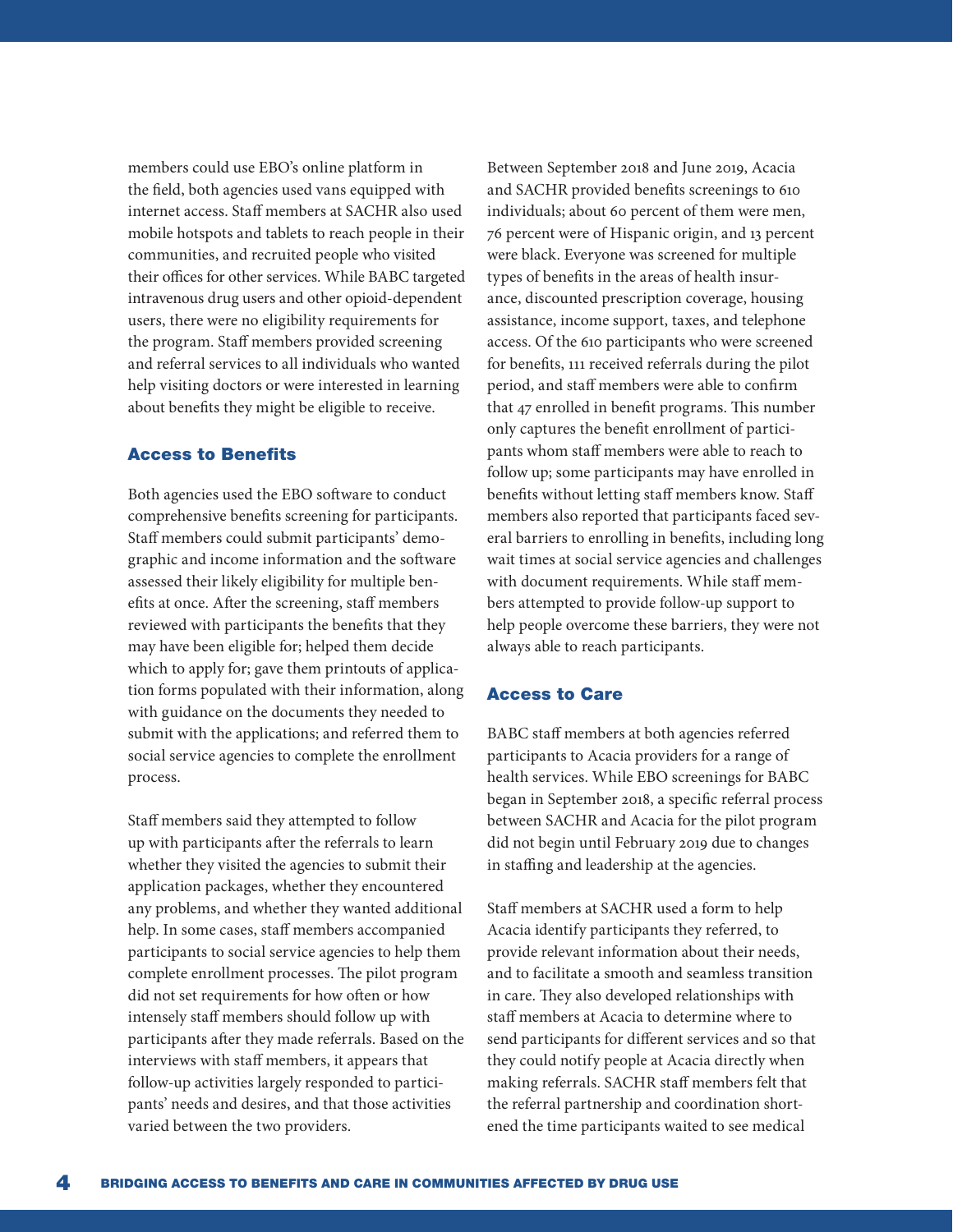members could use EBO's online platform in the field, both agencies used vans equipped with internet access. Staff members at SACHR also used mobile hotspots and tablets to reach people in their communities, and recruited people who visited their offices for other services. While BABC targeted intravenous drug users and other opioid-dependent users, there were no eligibility requirements for the program. Staff members provided screening and referral services to all individuals who wanted help visiting doctors or were interested in learning about benefits they might be eligible to receive.

# Access to Benefits

Both agencies used the EBO software to conduct comprehensive benefits screening for participants. Staff members could submit participants' demographic and income information and the software assessed their likely eligibility for multiple benefits at once. After the screening, staff members reviewed with participants the benefits that they may have been eligible for; helped them decide which to apply for; gave them printouts of application forms populated with their information, along with guidance on the documents they needed to submit with the applications; and referred them to social service agencies to complete the enrollment process.

Staff members said they attempted to follow up with participants after the referrals to learn whether they visited the agencies to submit their application packages, whether they encountered any problems, and whether they wanted additional help. In some cases, staff members accompanied participants to social service agencies to help them complete enrollment processes. The pilot program did not set requirements for how often or how intensely staff members should follow up with participants after they made referrals. Based on the interviews with staff members, it appears that follow-up activities largely responded to participants' needs and desires, and that those activities varied between the two providers.

Between September 2018 and June 2019, Acacia and SACHR provided benefits screenings to 610 individuals; about 60 percent of them were men, 76 percent were of Hispanic origin, and 13 percent were black. Everyone was screened for multiple types of benefits in the areas of health insurance, discounted prescription coverage, housing assistance, income support, taxes, and telephone access. Of the 610 participants who were screened for benefits, 111 received referrals during the pilot period, and staff members were able to confirm that 47 enrolled in benefit programs. This number only captures the benefit enrollment of participants whom staff members were able to reach to follow up; some participants may have enrolled in benefits without letting staff members know. Staff members also reported that participants faced several barriers to enrolling in benefits, including long wait times at social service agencies and challenges with document requirements. While staff members attempted to provide follow-up support to help people overcome these barriers, they were not always able to reach participants.

#### Access to Care

BABC staff members at both agencies referred participants to Acacia providers for a range of health services. While EBO screenings for BABC began in September 2018, a specific referral process between SACHR and Acacia for the pilot program did not begin until February 2019 due to changes in staffing and leadership at the agencies.

Staff members at SACHR used a form to help Acacia identify participants they referred, to provide relevant information about their needs, and to facilitate a smooth and seamless transition in care. They also developed relationships with staff members at Acacia to determine where to send participants for different services and so that they could notify people at Acacia directly when making referrals. SACHR staff members felt that the referral partnership and coordination shortened the time participants waited to see medical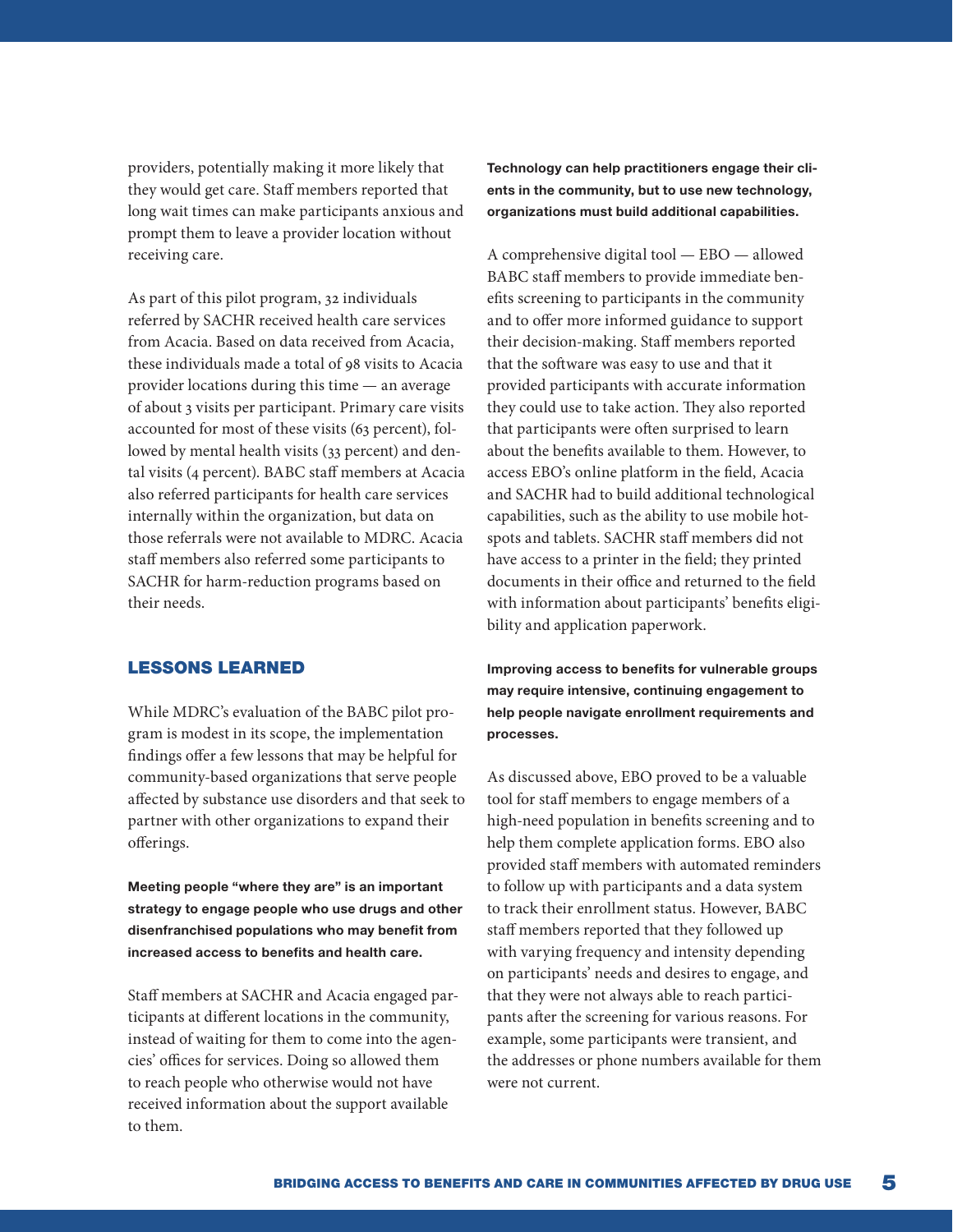providers, potentially making it more likely that they would get care. Staff members reported that long wait times can make participants anxious and prompt them to leave a provider location without receiving care.

As part of this pilot program, 32 individuals referred by SACHR received health care services from Acacia. Based on data received from Acacia, these individuals made a total of 98 visits to Acacia provider locations during this time — an average of about 3 visits per participant. Primary care visits accounted for most of these visits (63 percent), followed by mental health visits (33 percent) and dental visits (4 percent). BABC staff members at Acacia also referred participants for health care services internally within the organization, but data on those referrals were not available to MDRC. Acacia staff members also referred some participants to SACHR for harm-reduction programs based on their needs.

#### LESSONS LEARNED

While MDRC's evaluation of the BABC pilot program is modest in its scope, the implementation findings offer a few lessons that may be helpful for community-based organizations that serve people affected by substance use disorders and that seek to partner with other organizations to expand their offerings.

Meeting people "where they are" is an important strategy to engage people who use drugs and other disenfranchised populations who may benefit from increased access to benefits and health care.

Staff members at SACHR and Acacia engaged participants at different locations in the community, instead of waiting for them to come into the agencies' offices for services. Doing so allowed them to reach people who otherwise would not have received information about the support available to them.

Technology can help practitioners engage their clients in the community, but to use new technology, organizations must build additional capabilities.

A comprehensive digital tool — EBO — allowed BABC staff members to provide immediate benefits screening to participants in the community and to offer more informed guidance to support their decision-making. Staff members reported that the software was easy to use and that it provided participants with accurate information they could use to take action. They also reported that participants were often surprised to learn about the benefits available to them. However, to access EBO's online platform in the field, Acacia and SACHR had to build additional technological capabilities, such as the ability to use mobile hotspots and tablets. SACHR staff members did not have access to a printer in the field; they printed documents in their office and returned to the field with information about participants' benefits eligibility and application paperwork.

Improving access to benefits for vulnerable groups may require intensive, continuing engagement to help people navigate enrollment requirements and processes.

As discussed above, EBO proved to be a valuable tool for staff members to engage members of a high-need population in benefits screening and to help them complete application forms. EBO also provided staff members with automated reminders to follow up with participants and a data system to track their enrollment status. However, BABC staff members reported that they followed up with varying frequency and intensity depending on participants' needs and desires to engage, and that they were not always able to reach participants after the screening for various reasons. For example, some participants were transient, and the addresses or phone numbers available for them were not current.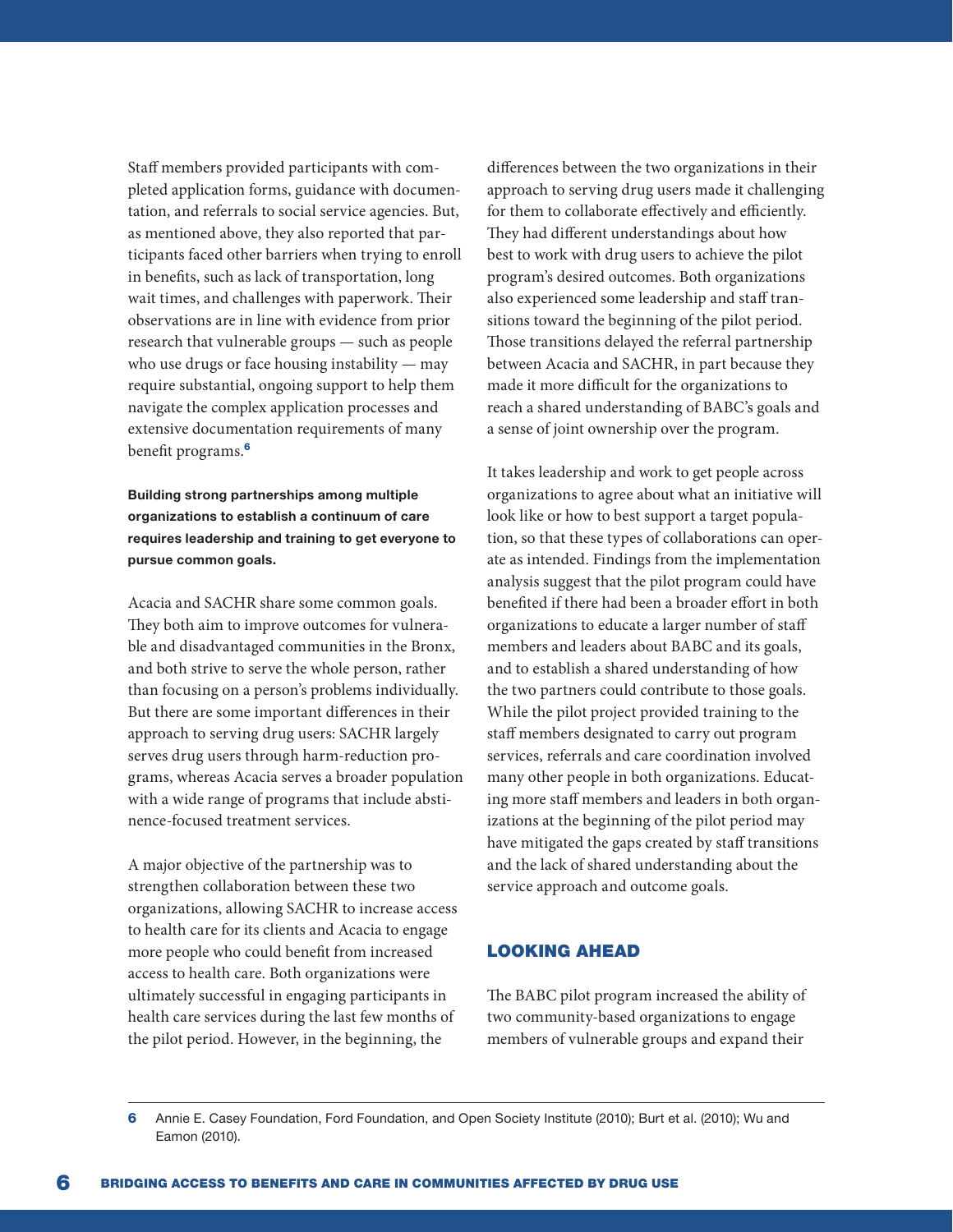Staff members provided participants with completed application forms, guidance with documentation, and referrals to social service agencies. But, as mentioned above, they also reported that participants faced other barriers when trying to enroll in benefits, such as lack of transportation, long wait times, and challenges with paperwork. Their observations are in line with evidence from prior research that vulnerable groups — such as people who use drugs or face housing instability — may require substantial, ongoing support to help them navigate the complex application processes and extensive documentation requirements of many benefit programs.<sup>6</sup>

Building strong partnerships among multiple organizations to establish a continuum of care requires leadership and training to get everyone to pursue common goals.

Acacia and SACHR share some common goals. They both aim to improve outcomes for vulnerable and disadvantaged communities in the Bronx, and both strive to serve the whole person, rather than focusing on a person's problems individually. But there are some important differences in their approach to serving drug users: SACHR largely serves drug users through harm-reduction programs, whereas Acacia serves a broader population with a wide range of programs that include abstinence-focused treatment services.

A major objective of the partnership was to strengthen collaboration between these two organizations, allowing SACHR to increase access to health care for its clients and Acacia to engage more people who could benefit from increased access to health care. Both organizations were ultimately successful in engaging participants in health care services during the last few months of the pilot period. However, in the beginning, the

differences between the two organizations in their approach to serving drug users made it challenging for them to collaborate effectively and efficiently. They had different understandings about how best to work with drug users to achieve the pilot program's desired outcomes. Both organizations also experienced some leadership and staff transitions toward the beginning of the pilot period. Those transitions delayed the referral partnership between Acacia and SACHR, in part because they made it more difficult for the organizations to reach a shared understanding of BABC's goals and a sense of joint ownership over the program.

It takes leadership and work to get people across organizations to agree about what an initiative will look like or how to best support a target population, so that these types of collaborations can operate as intended. Findings from the implementation analysis suggest that the pilot program could have benefited if there had been a broader effort in both organizations to educate a larger number of staff members and leaders about BABC and its goals, and to establish a shared understanding of how the two partners could contribute to those goals. While the pilot project provided training to the staff members designated to carry out program services, referrals and care coordination involved many other people in both organizations. Educating more staff members and leaders in both organizations at the beginning of the pilot period may have mitigated the gaps created by staff transitions and the lack of shared understanding about the service approach and outcome goals.

# LOOKING AHEAD

The BABC pilot program increased the ability of two community-based organizations to engage members of vulnerable groups and expand their

6 Annie E. Casey Foundation, Ford Foundation, and Open Society Institute (2010); Burt et al. (2010); Wu and Eamon (2010).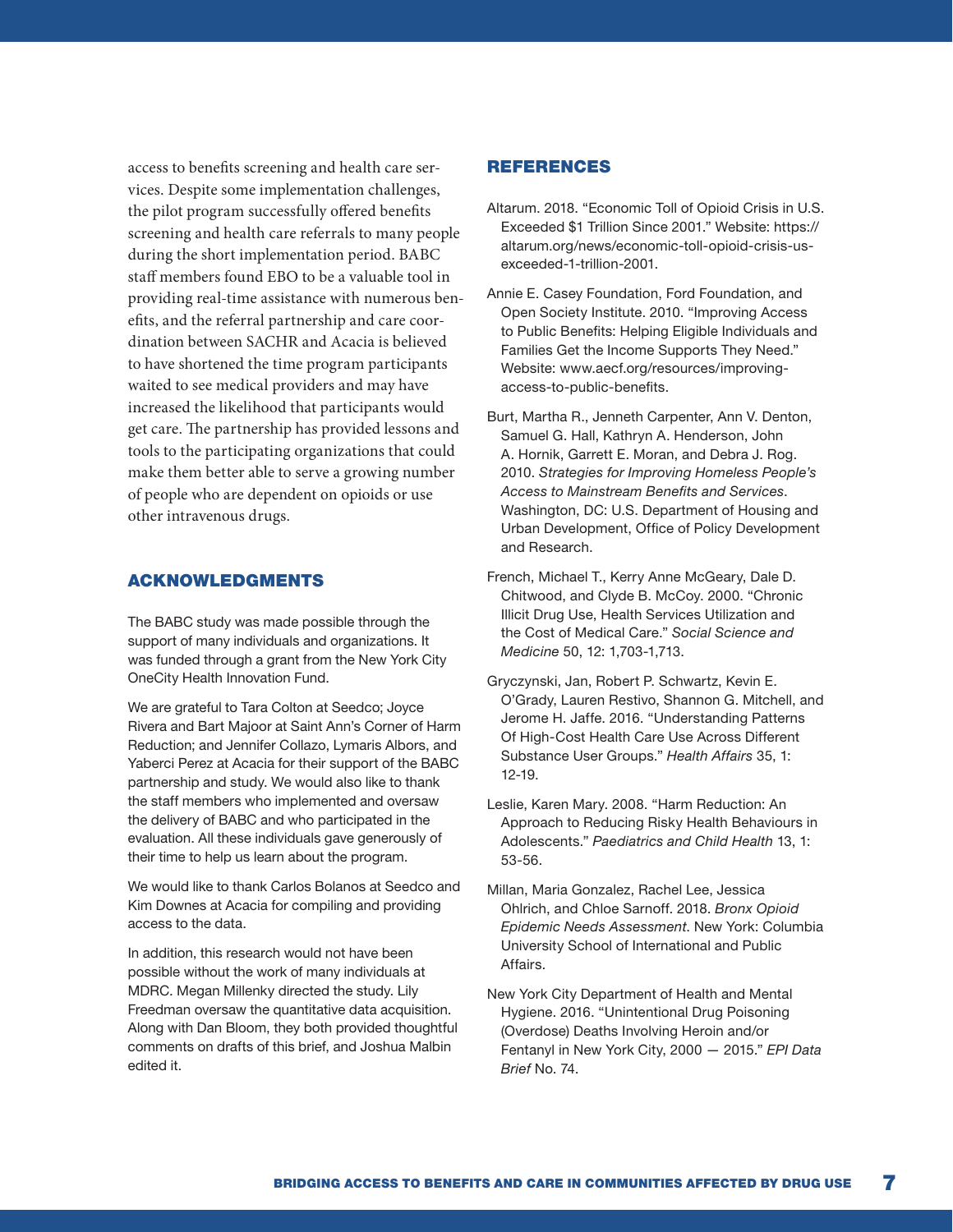access to benefits screening and health care services. Despite some implementation challenges, the pilot program successfully offered benefits screening and health care referrals to many people during the short implementation period. BABC staff members found EBO to be a valuable tool in providing real-time assistance with numerous benefits, and the referral partnership and care coordination between SACHR and Acacia is believed to have shortened the time program participants waited to see medical providers and may have increased the likelihood that participants would get care. The partnership has provided lessons and tools to the participating organizations that could make them better able to serve a growing number of people who are dependent on opioids or use other intravenous drugs.

# ACKNOWLEDGMENTS

The BABC study was made possible through the support of many individuals and organizations. It was funded through a grant from the New York City OneCity Health Innovation Fund.

We are grateful to Tara Colton at Seedco; Joyce Rivera and Bart Majoor at Saint Ann's Corner of Harm Reduction; and Jennifer Collazo, Lymaris Albors, and Yaberci Perez at Acacia for their support of the BABC partnership and study. We would also like to thank the staff members who implemented and oversaw the delivery of BABC and who participated in the evaluation. All these individuals gave generously of their time to help us learn about the program.

We would like to thank Carlos Bolanos at Seedco and Kim Downes at Acacia for compiling and providing access to the data.

In addition, this research would not have been possible without the work of many individuals at MDRC. Megan Millenky directed the study. Lily Freedman oversaw the quantitative data acquisition. Along with Dan Bloom, they both provided thoughtful comments on drafts of this brief, and Joshua Malbin edited it.

#### **REFERENCES**

- Altarum. 2018. "Economic Toll of Opioid Crisis in U.S. Exceeded \$1 Trillion Since 2001." Website: https:// altarum.org/news/economic-toll-opioid-crisis-usexceeded-1-trillion-2001.
- Annie E. Casey Foundation, Ford Foundation, and Open Society Institute. 2010. "Improving Access to Public Benefits: Helping Eligible Individuals and Families Get the Income Supports They Need." Website: www.aecf.org/resources/improvingaccess-to-public-benefits.
- Burt, Martha R., Jenneth Carpenter, Ann V. Denton, Samuel G. Hall, Kathryn A. Henderson, John A. Hornik, Garrett E. Moran, and Debra J. Rog. 2010. *Strategies for Improving Homeless People's Access to Mainstream Benefits and Services*. Washington, DC: U.S. Department of Housing and Urban Development, Office of Policy Development and Research.
- French, Michael T., Kerry Anne McGeary, Dale D. Chitwood, and Clyde B. McCoy. 2000. "Chronic Illicit Drug Use, Health Services Utilization and the Cost of Medical Care." *Social Science and Medicine* 50, 12: 1,703-1,713.
- Gryczynski, Jan, Robert P. Schwartz, Kevin E. O'Grady, Lauren Restivo, Shannon G. Mitchell, and Jerome H. Jaffe. 2016. "Understanding Patterns Of High-Cost Health Care Use Across Different Substance User Groups." *Health Affairs* 35, 1: 12-19.
- Leslie, Karen Mary. 2008. "Harm Reduction: An Approach to Reducing Risky Health Behaviours in Adolescents." *Paediatrics and Child Health* 13, 1: 53-56.
- Millan, Maria Gonzalez, Rachel Lee, Jessica Ohlrich, and Chloe Sarnoff. 2018. *Bronx Opioid Epidemic Needs Assessment*. New York: Columbia University School of International and Public Affairs.
- New York City Department of Health and Mental Hygiene. 2016. "Unintentional Drug Poisoning (Overdose) Deaths Involving Heroin and/or Fentanyl in New York City, 2000 — 2015." *EPI Data Brief* No. 74.